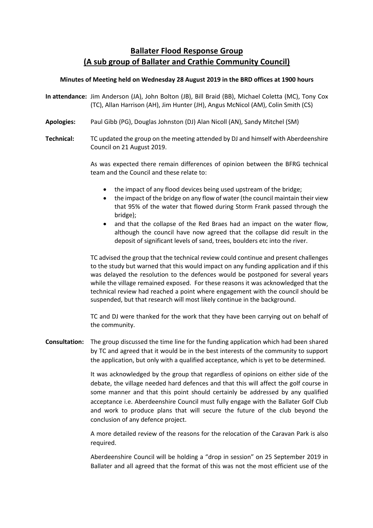# **Ballater Flood Response Group (A sub group of Ballater and Crathie Community Council)**

## **Minutes of Meeting held on Wednesday 28 August 2019 in the BRD offices at 1900 hours**

- **In attendance:** Jim Anderson (JA), John Bolton (JB), Bill Braid (BB), Michael Coletta (MC), Tony Cox (TC), Allan Harrison (AH), Jim Hunter (JH), Angus McNicol (AM), Colin Smith (CS)
- **Apologies:** Paul Gibb (PG), Douglas Johnston (DJ) Alan Nicoll (AN), Sandy Mitchel (SM)
- **Technical:** TC updated the group on the meeting attended by DJ and himself with Aberdeenshire Council on 21 August 2019.

As was expected there remain differences of opinion between the BFRG technical team and the Council and these relate to:

- the impact of any flood devices being used upstream of the bridge;
- the impact of the bridge on any flow of water (the council maintain their view that 95% of the water that flowed during Storm Frank passed through the bridge);
- and that the collapse of the Red Braes had an impact on the water flow, although the council have now agreed that the collapse did result in the deposit of significant levels of sand, trees, boulders etc into the river.

TC advised the group that the technical review could continue and present challenges to the study but warned that this would impact on any funding application and if this was delayed the resolution to the defences would be postponed for several years while the village remained exposed. For these reasons it was acknowledged that the technical review had reached a point where engagement with the council should be suspended, but that research will most likely continue in the background.

TC and DJ were thanked for the work that they have been carrying out on behalf of the community.

**Consultation:** The group discussed the time line for the funding application which had been shared by TC and agreed that it would be in the best interests of the community to support the application, but only with a qualified acceptance, which is yet to be determined.

> It was acknowledged by the group that regardless of opinions on either side of the debate, the village needed hard defences and that this will affect the golf course in some manner and that this point should certainly be addressed by any qualified acceptance i.e. Aberdeenshire Council must fully engage with the Ballater Golf Club and work to produce plans that will secure the future of the club beyond the conclusion of any defence project.

> A more detailed review of the reasons for the relocation of the Caravan Park is also required.

> Aberdeenshire Council will be holding a "drop in session" on 25 September 2019 in Ballater and all agreed that the format of this was not the most efficient use of the